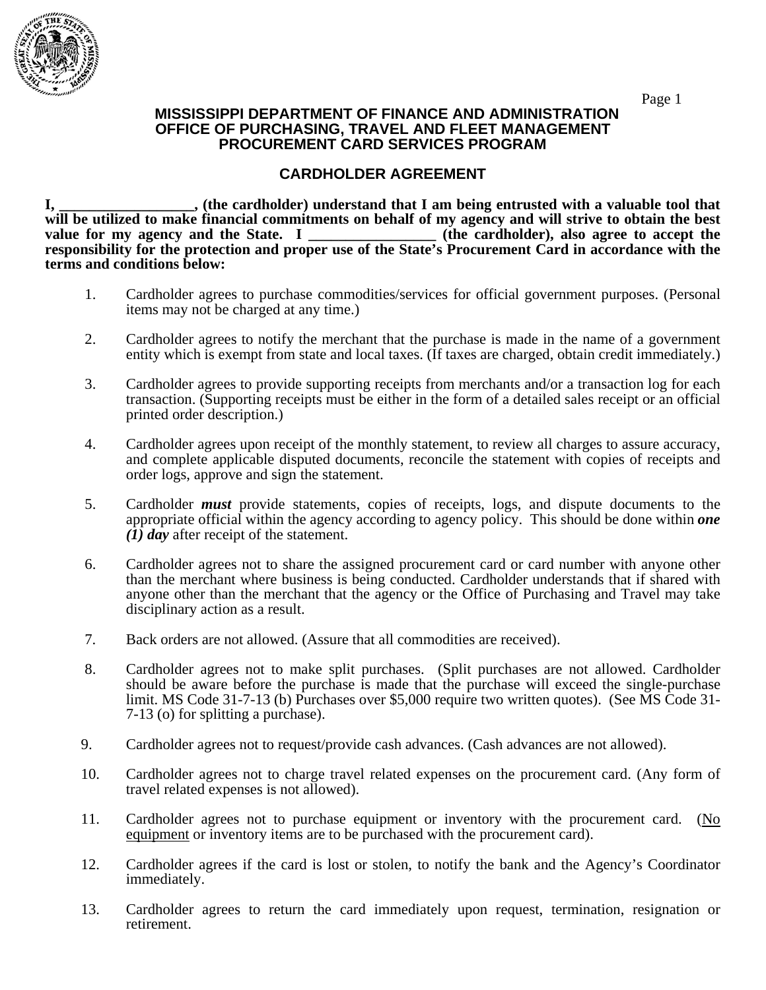

## Page 1  **MISSISSIPPI DEPARTMENT OF FINANCE AND ADMINISTRATION OFFICE OF PURCHASING, TRAVEL AND FLEET MANAGEMENT PROCUREMENT CARD SERVICES PROGRAM**

## **CARDHOLDER AGREEMENT**

**I, \_\_\_\_\_\_\_\_\_\_\_\_\_\_\_\_\_\_, (the cardholder) understand that I am being entrusted with a valuable tool that**  will be utilized to make financial commitments on behalf of my agency and will strive to obtain the best value for my agency and the State. I (the cardholder), also agree to accept the (the cardholder), also agree to accept the **responsibility for the protection and proper use of the State's Procurement Card in accordance with the terms and conditions below:** 

- 1. Cardholder agrees to purchase commodities/services for official government purposes. (Personal items may not be charged at any time.)
- 2. Cardholder agrees to notify the merchant that the purchase is made in the name of a government entity which is exempt from state and local taxes. (If taxes are charged, obtain credit immediately.)
- 3. Cardholder agrees to provide supporting receipts from merchants and/or a transaction log for each transaction. (Supporting receipts must be either in the form of a detailed sales receipt or an official printed order description.)
- 4. Cardholder agrees upon receipt of the monthly statement, to review all charges to assure accuracy, and complete applicable disputed documents, reconcile the statement with copies of receipts and order logs, approve and sign the statement.
- 5. Cardholder *must* provide statements, copies of receipts, logs, and dispute documents to the appropriate official within the agency according to agency policy. This should be done within *one (1) day* after receipt of the statement.
- 6. Cardholder agrees not to share the assigned procurement card or card number with anyone other than the merchant where business is being conducted. Cardholder understands that if shared with anyone other than the merchant that the agency or the Office of Purchasing and Travel may take disciplinary action as a result.
- 7. Back orders are not allowed. (Assure that all commodities are received).
- 8. Cardholder agrees not to make split purchases. (Split purchases are not allowed. Cardholder should be aware before the purchase is made that the purchase will exceed the single-purchase limit. MS Code 31-7-13 (b) Purchases over \$5,000 require two written quotes). (See MS Code 31- 7-13 (o) for splitting a purchase).
- 9. Cardholder agrees not to request/provide cash advances. (Cash advances are not allowed).
- 10. Cardholder agrees not to charge travel related expenses on the procurement card. (Any form of travel related expenses is not allowed).
- 11. Cardholder agrees not to purchase equipment or inventory with the procurement card. (No equipment or inventory items are to be purchased with the procurement card).
- 12. Cardholder agrees if the card is lost or stolen, to notify the bank and the Agency's Coordinator immediately.
- 13. Cardholder agrees to return the card immediately upon request, termination, resignation or retirement.